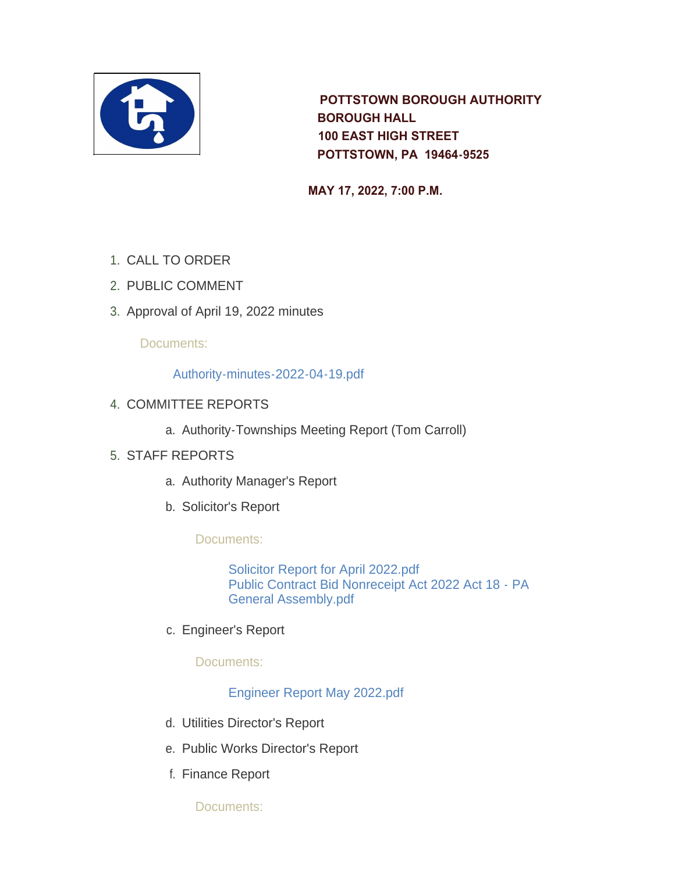

 **POTTSTOWN BOROUGH AUTHORITY BOROUGH HALL 100 EAST HIGH STREET POTTSTOWN, PA 19464-9525** 

 **MAY 17, 2022, 7:00 P.M.** 

- 1. CALL TO ORDER
- 2. PUBLIC COMMENT
- 3. Approval of April 19, 2022 minutes

Documents:

## [Authority-minutes-2022-04-19.pdf](https://www.pottstown.org/AgendaCenter/ViewFile/Item/12626?fileID=5766)

- 4. COMMITTEE REPORTS
	- a. Authority-Townships Meeting Report (Tom Carroll)

## STAFF REPORTS 5.

- a. Authority Manager's Report
- b. Solicitor's Report

Documents:

[Solicitor Report for April 2022.pdf](https://www.pottstown.org/AgendaCenter/ViewFile/Item/12632?fileID=5767) [Public Contract Bid Nonreceipt Act 2022 Act 18 - PA](https://www.pottstown.org/AgendaCenter/ViewFile/Item/12632?fileID=5768)  General Assembly.pdf

c. Engineer's Report

Documents:

[Engineer Report May 2022.pdf](https://www.pottstown.org/AgendaCenter/ViewFile/Item/12633?fileID=5780)

- d. Utilities Director's Report
- e. Public Works Director's Report
- f. Finance Report

Documents: